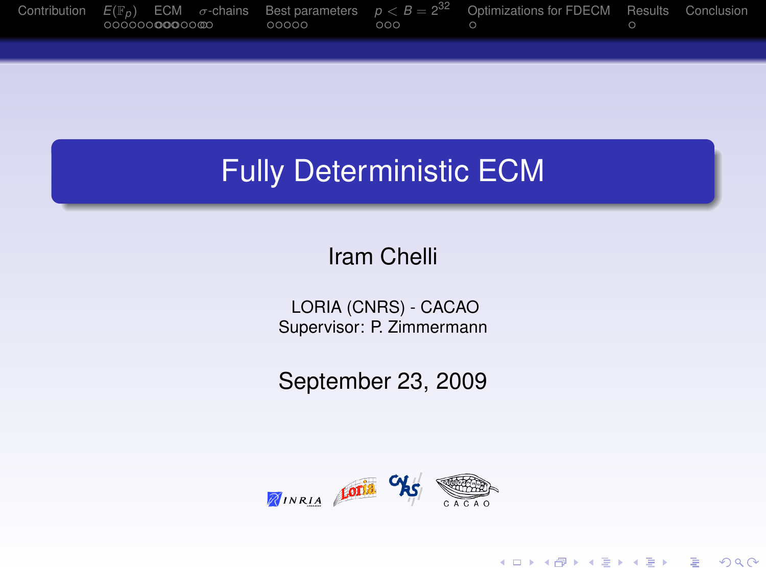<span id="page-0-0"></span>

## Fully Deterministic ECM

#### Iram Chelli

LORIA (CNRS) - CACAO Supervisor: P. Zimmermann

September 23, 2009



K ロ ▶ K @ ▶ K 할 ▶ K 할 ▶ 이 할 → 9 Q Q →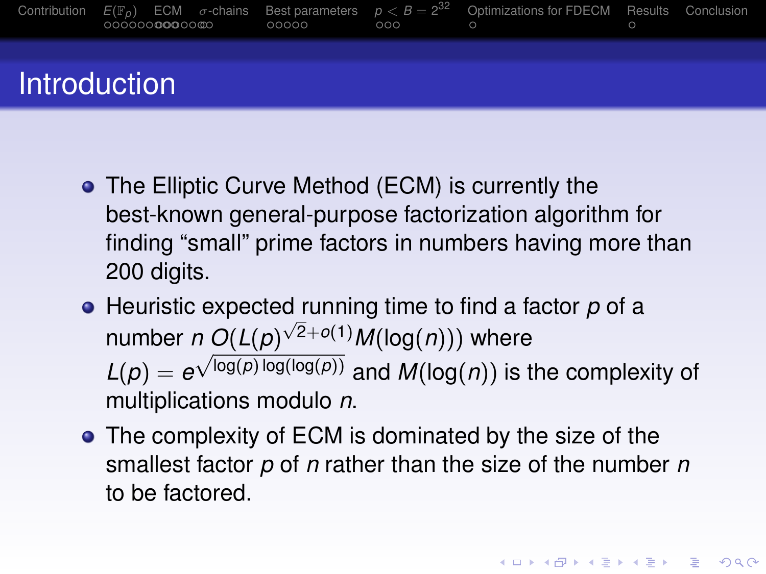

- **The Elliptic Curve Method (ECM) is currently the** best-known general-purpose factorization algorithm for finding "small" prime factors in numbers having more than 200 digits.
- Heuristic expected running time to find a factor *p* of a number *n O*(*L*(*p*)  $n \frac{O(L(p)^{\sqrt{2}+o(1)}}{O(L(p^{\sqrt{2}+o(1)})} M(\log(n)))$  where  $L(p) = e^{\sqrt{\log(p)} \log(\log(p))}$  and  $M(\log(n))$  is the complexity of multiplications modulo *n*.
- The complexity of ECM is dominated by the size of the smallest factor *p* of *n* rather than the size of the number *n* to be factored.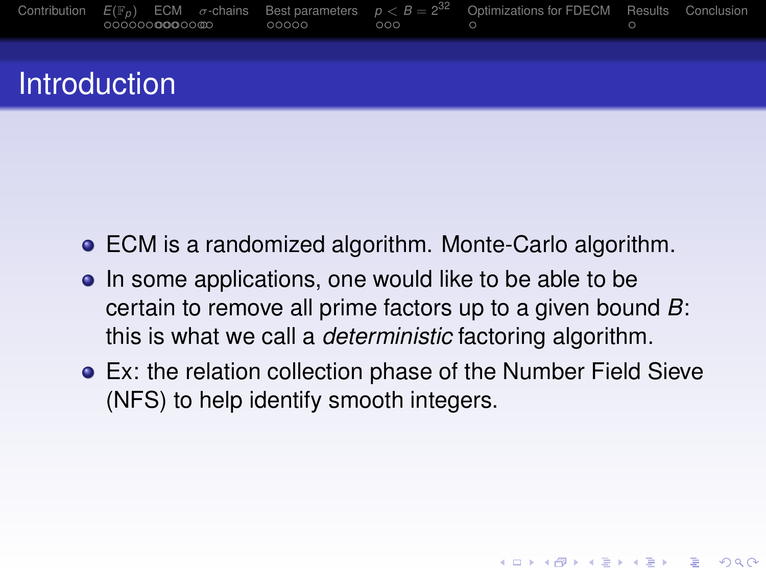

- ECM is a randomized algorithm. Monte-Carlo algorithm.
- In some applications, one would like to be able to be certain to remove all prime factors up to a given bound *B*: this is what we call a *deterministic* factoring algorithm.
- Ex: the relation collection phase of the Number Field Sieve (NFS) to help identify smooth integers.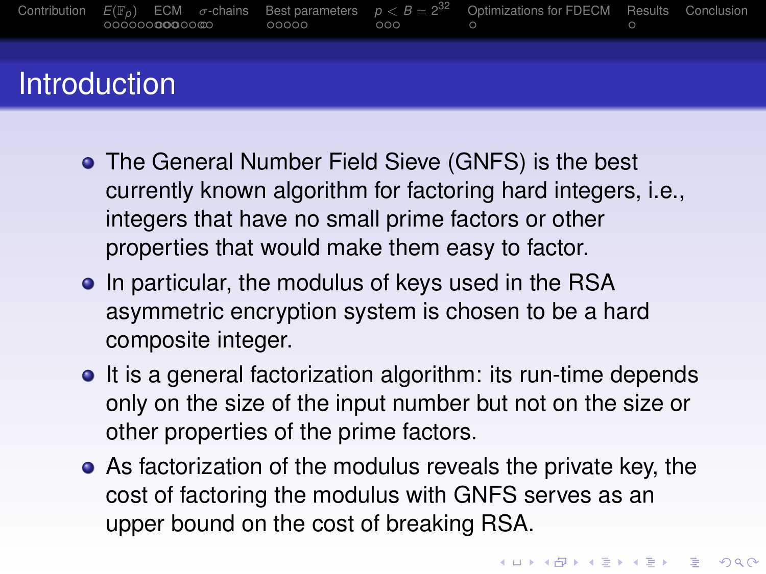

- **The General Number Field Sieve (GNFS) is the best** currently known algorithm for factoring hard integers, i.e., integers that have no small prime factors or other properties that would make them easy to factor.
- In particular, the modulus of keys used in the RSA asymmetric encryption system is chosen to be a hard composite integer.
- It is a general factorization algorithm: its run-time depends only on the size of the input number but not on the size or other properties of the prime factors.
- As factorization of the modulus reveals the private key, the cost of factoring the modulus with GNFS serves as an upper bound on the cost of breaking RSA.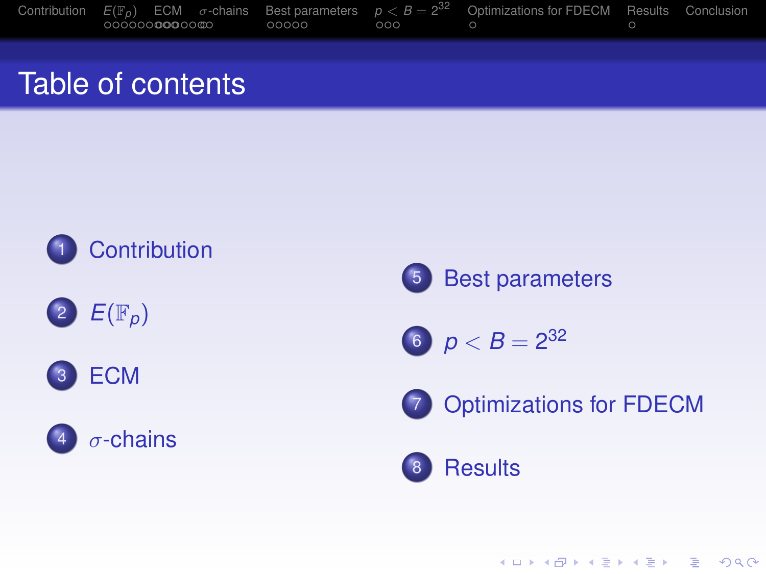|  |                         |       |     | Contribution $E(\mathbb{F}_p)$ ECM $\sigma$ -chains Best parameters $p < B = 2^{32}$ Optimizations for FDECM Results Conclusion |  |
|--|-------------------------|-------|-----|---------------------------------------------------------------------------------------------------------------------------------|--|
|  | 000000 <b>000</b> 00000 | 00000 | 000 |                                                                                                                                 |  |

#### Table of contents











$$
6 \quad p < B = 2^{32}
$$



**[Optimizations for FDECM](#page-0-0)** 

KO K K Ø K K E K K E K Y K K K K K K K K K

#### [Results](#page-0-0)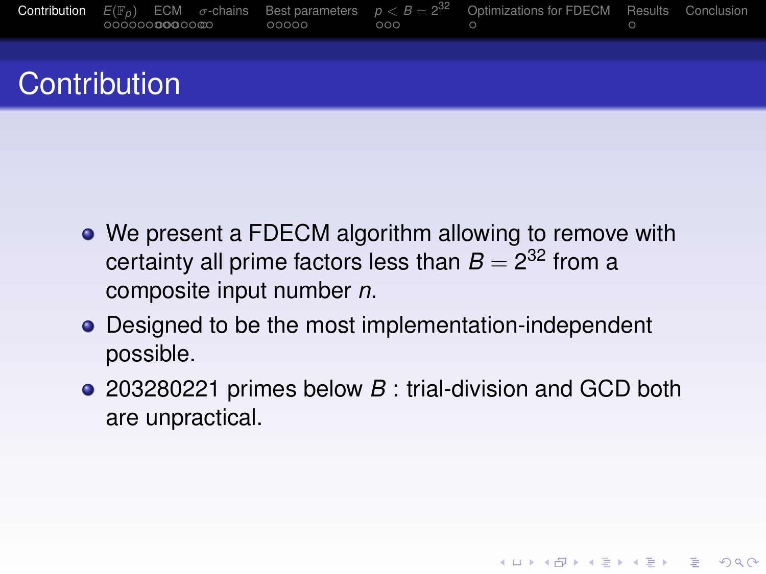

- We present a FDECM algorithm allowing to remove with certainty all prime factors less than  $B=2^{32}$  from a composite input number *n*.
- Designed to be the most implementation-independent possible.
- 203280221 primes below *B* : trial-division and GCD both are unpractical.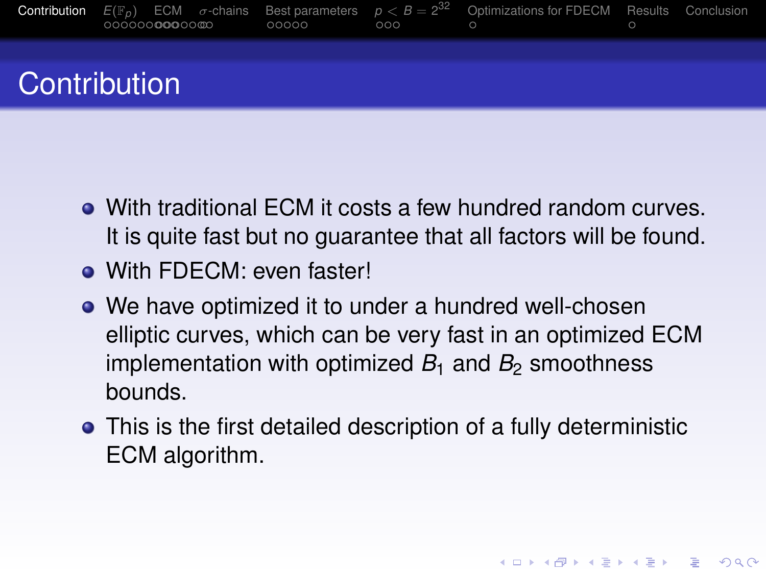

- With traditional ECM it costs a few hundred random curves. It is quite fast but no guarantee that all factors will be found.
- **.** With FDFCM: even faster!
- We have optimized it to under a hundred well-chosen elliptic curves, which can be very fast in an optimized ECM implementation with optimized  $B_1$  and  $B_2$  smoothness bounds.
- <span id="page-6-0"></span>This is the first detailed description of a fully deterministic ECM algorithm.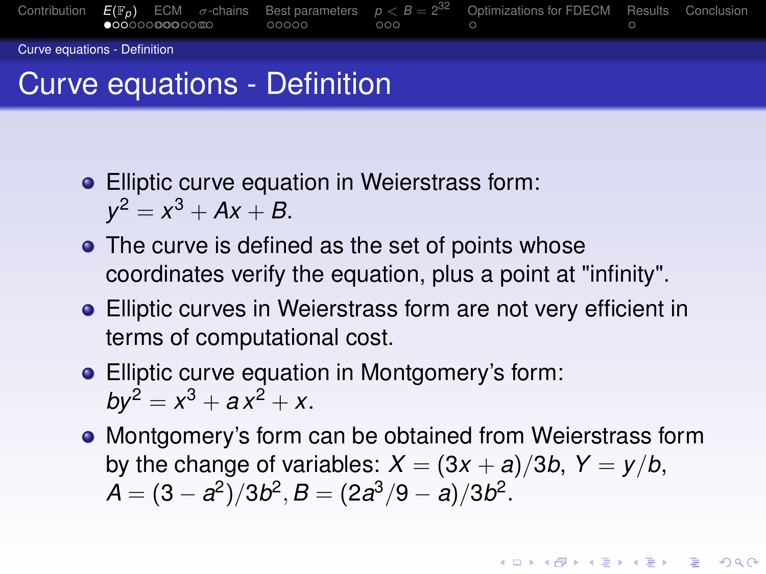

- **•** Elliptic curve equation in Weierstrass form:  $y^2 = x^3 + Ax + B$ .
	- The curve is defined as the set of points whose coordinates verify the equation, plus a point at "infinity".
	- Elliptic curves in Weierstrass form are not very efficient in terms of computational cost.
	- Elliptic curve equation in Montgomery's form:  $by^2 = x^3 + ax^2 + x$ .
	- Montgomery's form can be obtained from Weierstrass form by the change of variables:  $X = (3x + a)/3b$ ,  $Y = y/b$ ,  $A = (3 - a^2)/3b^2$ ,  $B = (2a^3/9 - a)/3b^2$ .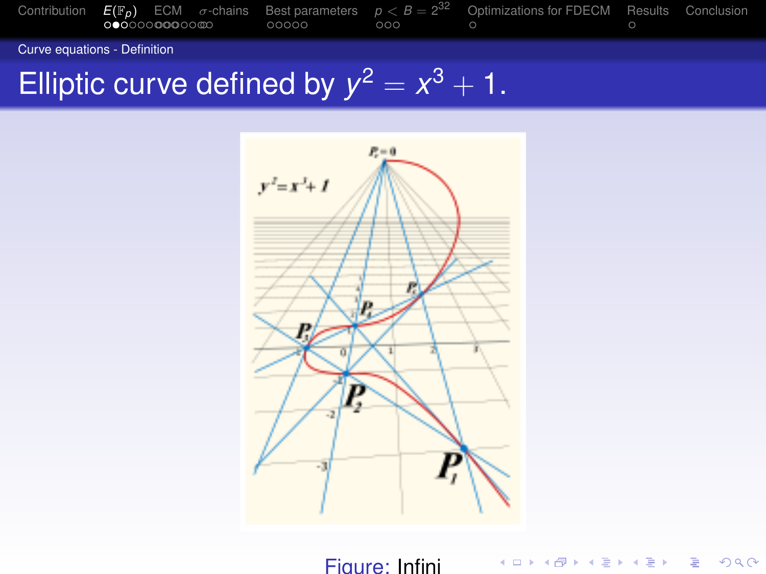

Curve equations - Definition

## Elliptic curve defined by  $y^2 = x^3 + 1$ .



Figure: Infini

KID KARA KE KE KE BE YORD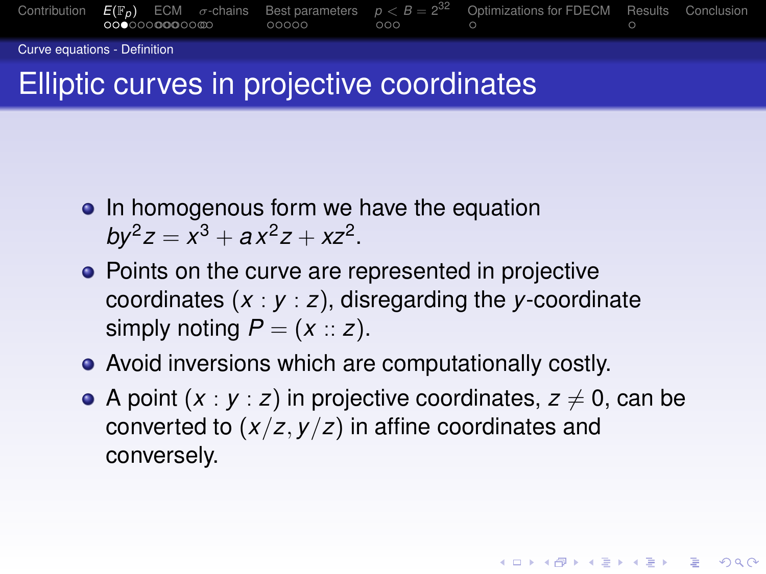

Curve equations - Definition

## Elliptic curves in projective coordinates

- In homogenous form we have the equation  $by^2z = x^3 + ax^2z + xz^2$ .
- Points on the curve are represented in projective coordinates (*x* : *y* : *z*), disregarding the *y*-coordinate simply noting  $P = (x :: z)$ .
- Avoid inversions which are computationally costly.
- <span id="page-9-0"></span>A point  $(x : y : z)$  in projective coordinates,  $z \neq 0$ , can be converted to (*x*/*z*, *y*/*z*) in affine coordinates and conversely.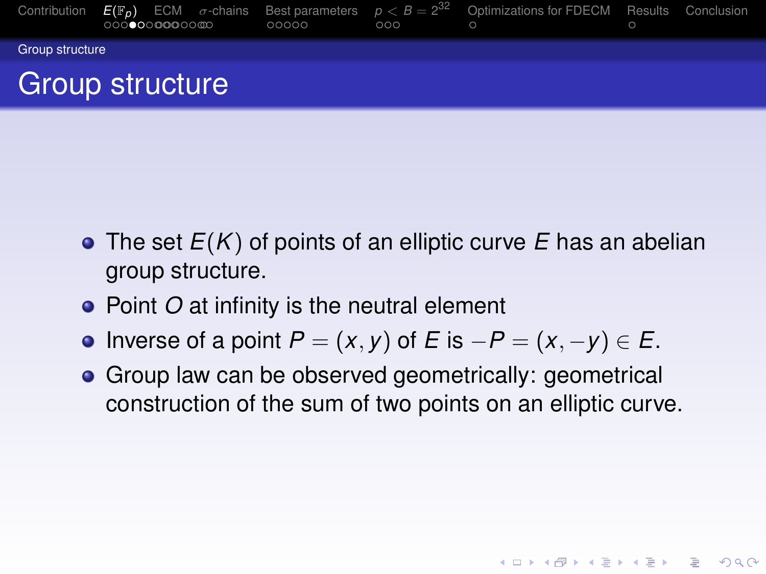

- The set *E*(*K*) of points of an elliptic curve *E* has an abelian group structure.
- Point *O* at infinity is the neutral element
- $\bullet$  Inverse of a point *P* = (*x*, *y*) of *E* is −*P* = (*x*, −*y*)  $\in$  *E*.
- **•** Group law can be observed geometrically: geometrical construction of the sum of two points on an elliptic curve.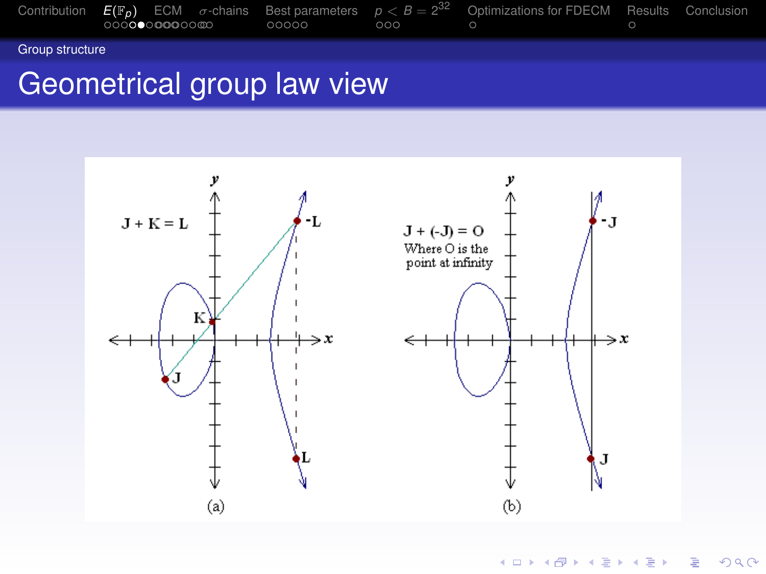

Group structure

#### Geometrical group law view



K ロ ▶ K 御 ▶ K 唐 ▶ K 唐 ▶ … 重  $2990$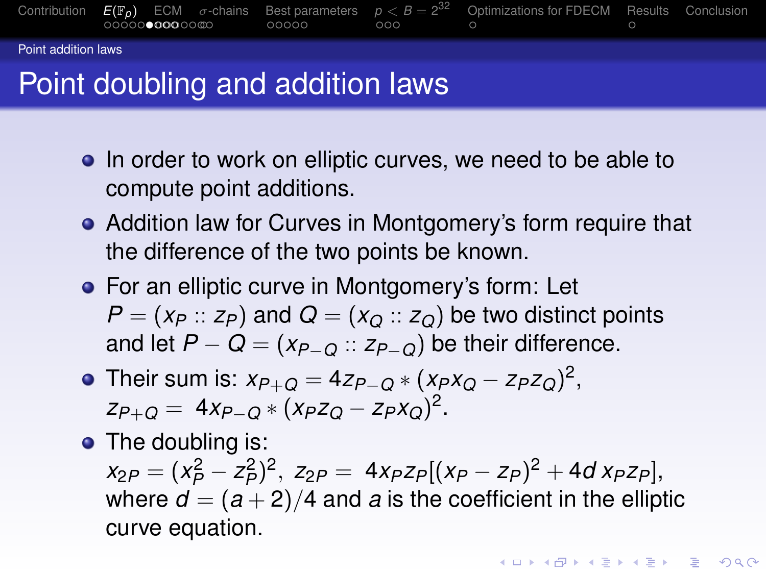

Point addition laws

## Point doubling and addition laws

- In order to work on elliptic curves, we need to be able to compute point additions.
- Addition law for Curves in Montgomery's form require that the difference of the two points be known.
- **•** For an elliptic curve in Montgomery's form: Let  $P = (x_P :: z_P)$  and  $Q = (x_Q :: z_Q)$  be two distinct points and let  $P - Q = (x_{P-Q} :: z_{P-Q})$  be their difference.
- Their sum is:  $x_{P+Q} = 4z_{P-Q} * (x_Px_Q z_Pz_Q)^2$ , *zP*+*<sup>Q</sup>* = 4*xP*−*<sup>Q</sup>* ∗ (*xPz<sup>Q</sup>* − *zPxQ*) 2 .
- The doubling is:

<span id="page-12-0"></span> $x_{2P} = (x_P^2 - z_P^2)^2$ ,  $z_{2P} = 4x_Pz_P[(x_P - z_P)^2 + 4d x_Pz_P]$ , where  $d = (a+2)/4$  and *a* is the coefficient in the elliptic curve equation.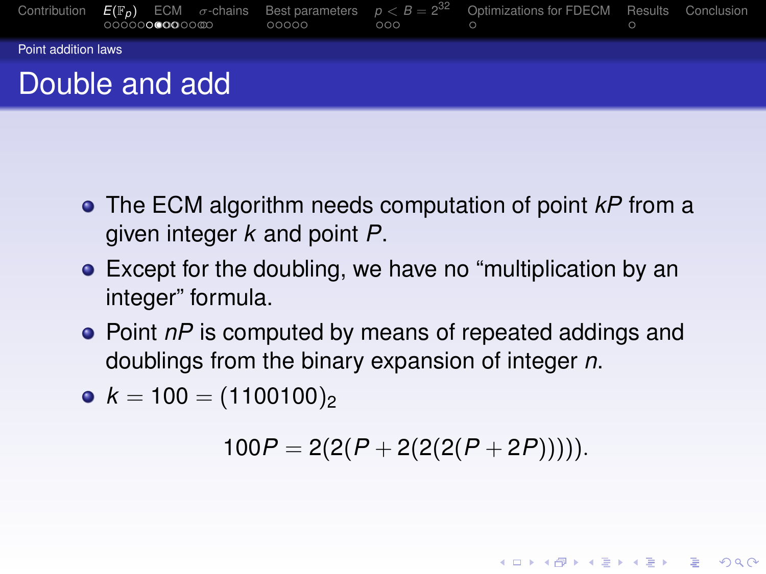

- The ECM algorithm needs computation of point *kP* from a given integer *k* and point *P*.
- Except for the doubling, we have no "multiplication by an integer" formula.
- Point *nP* is computed by means of repeated addings and doublings from the binary expansion of integer *n*.
- <span id="page-13-0"></span>•  $k = 100 = (1100100)_{2}$

$$
100P = 2(2(P + 2(2(2(P + 2P))))).
$$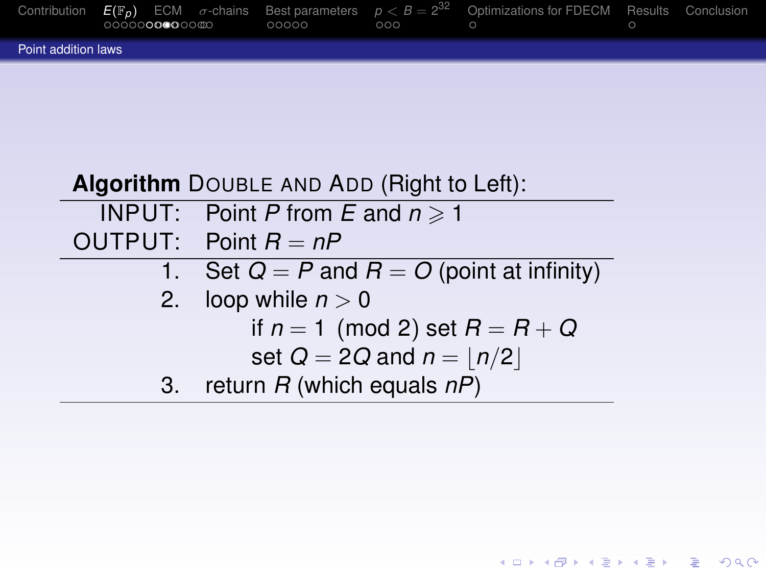

|    | Algorithm DOUBLE AND ADD (Right to Left):      |
|----|------------------------------------------------|
|    | <b>INPUT:</b> Point P from E and $n \ge 1$     |
|    | OUTPUT: Point $R = nP$                         |
|    | 1. Set $Q = P$ and $R = O$ (point at infinity) |
|    | 2. loop while $n > 0$                          |
|    | if $n = 1 \pmod{2}$ set $R = R + Q$            |
|    | set $Q = 2Q$ and $n =  n/2 $                   |
| 3. | return $R$ (which equals $nP$ )                |

KID KARA KE KAEK LE YOKO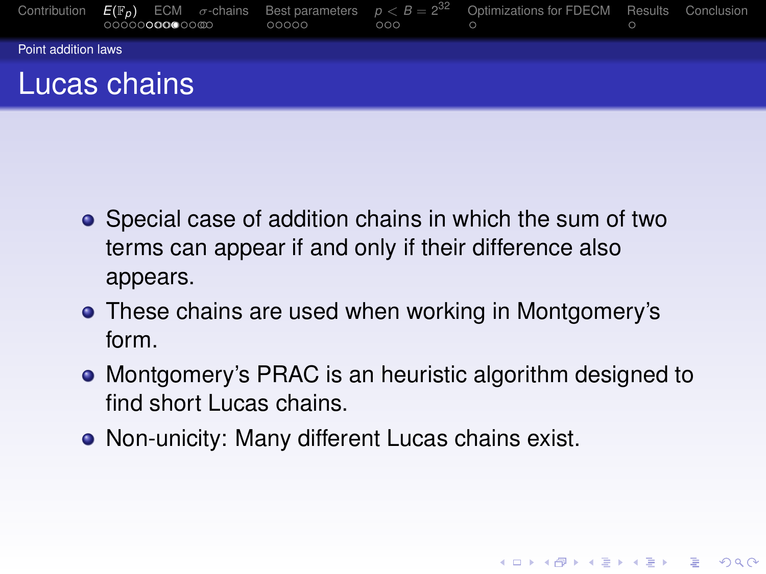

- Special case of addition chains in which the sum of two terms can appear if and only if their difference also appears.
- **•** These chains are used when working in Montgomery's form.
- Montgomery's PRAC is an heuristic algorithm designed to find short Lucas chains.

Non-unicity: Many different Lucas chains exist.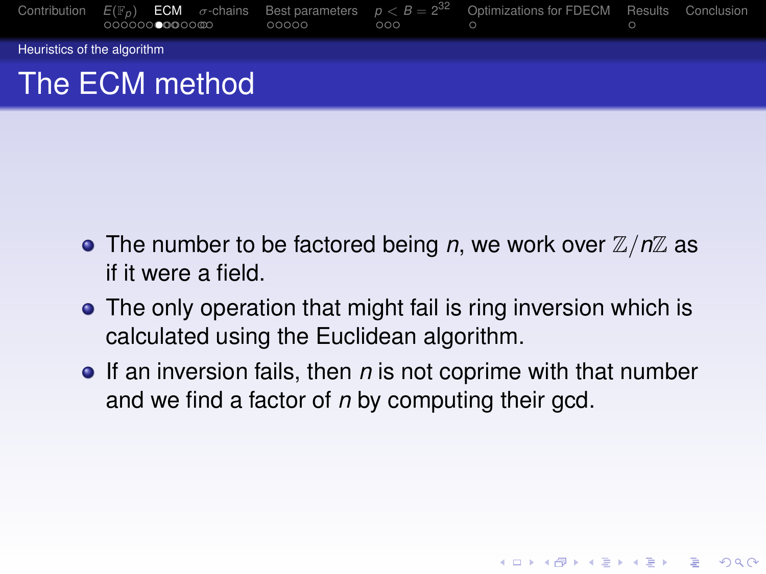

- The number to be factored being *n*, we work over  $\mathbb{Z}/n\mathbb{Z}$  as if it were a field.
- The only operation that might fail is ring inversion which is calculated using the Euclidean algorithm.
- **•** If an inversion fails, then *n* is not coprime with that number and we find a factor of *n* by computing their gcd.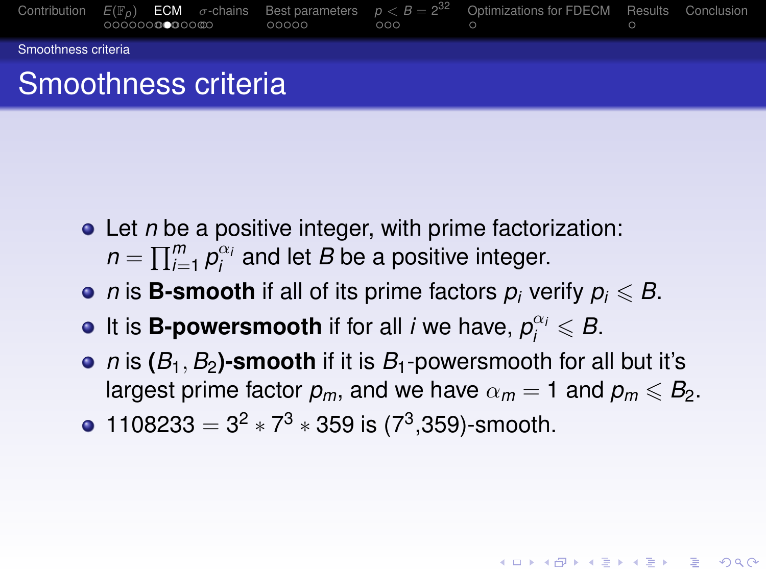

- Let *n* be a positive integer, with prime factorization:  $n = \prod_{i=1}^{m} p_i^{\alpha_i}$  and let *B* be a positive integer.
- *n* is **B-smooth** if all of its prime factors  $p_i$  verify  $p_i \leq B$ .
- It is **B-powersmooth** if for all *i* we have,  $p_i^{\alpha_i} \leqslant B$ .
- *n* is  $(B_1, B_2)$ -smooth if it is  $B_1$ -powersmooth for all but it's largest prime factor  $p_m$ , and we have  $\alpha_m = 1$  and  $p_m \leq B_2$ .

1108233 =  $3^2 \times 7^3 \times 359$  is (7<sup>3</sup>,359)-smooth.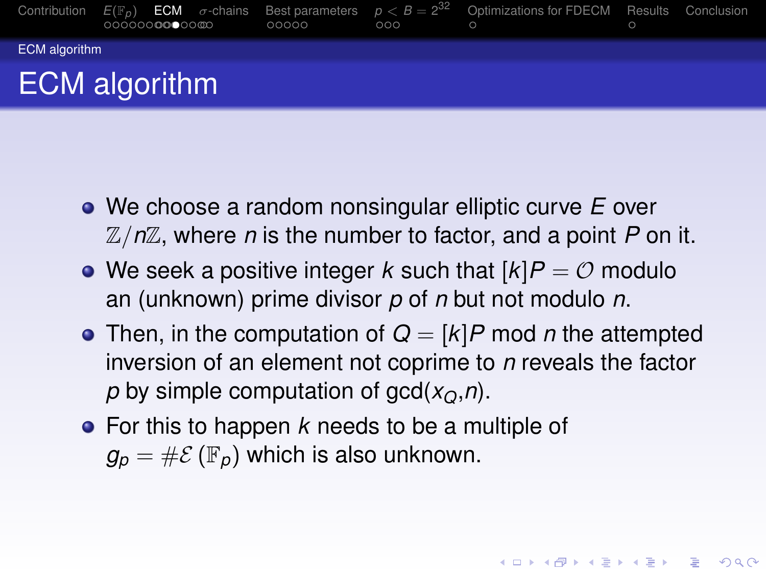

- We choose a random nonsingular elliptic curve *E* over Z/*n*Z, where *n* is the number to factor, and a point *P* on it.
- We seek a positive integer *k* such that  $[k]P = \mathcal{O}$  modulo an (unknown) prime divisor *p* of *n* but not modulo *n*.
- Then, in the computation of  $Q = [k]P$  mod *n* the attempted inversion of an element not coprime to *n* reveals the factor *p* by simple computation of  $gcd(x<sub>O</sub>, n)$ .

For this to happen *k* needs to be a multiple of  $g_p = \# \mathcal{E}(\mathbb{F}_p)$  which is also unknown.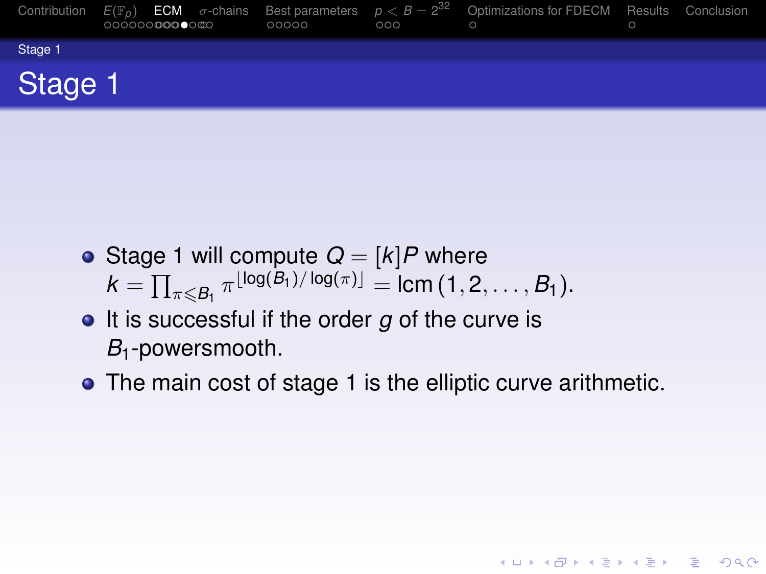|         | Contribution $E(\mathbb{F}_p)$ <b>ECM</b> $\sigma$ -chains Best parameters $p < B = 2^{32}$ Optimizations for FDECM Results Conclusion<br>0000000000000 | 00000 | 000 |  |  |
|---------|---------------------------------------------------------------------------------------------------------------------------------------------------------|-------|-----|--|--|
| Stage 1 |                                                                                                                                                         |       |     |  |  |
| Stage 1 |                                                                                                                                                         |       |     |  |  |

- Stage 1 will compute  $Q = [k]P$  where  $k = \prod_{\pi \leqslant B_1} \pi^{\lfloor \log(B_1)/\log(\pi) \rfloor} = \text{lcm}(1, 2, \ldots, B_1).$
- **It is successful if the order g of the curve is** *B*1-powersmooth.
- <span id="page-19-0"></span>• The main cost of stage 1 is the elliptic curve arithmetic.

**KORKAPRASKASK ST VOOR**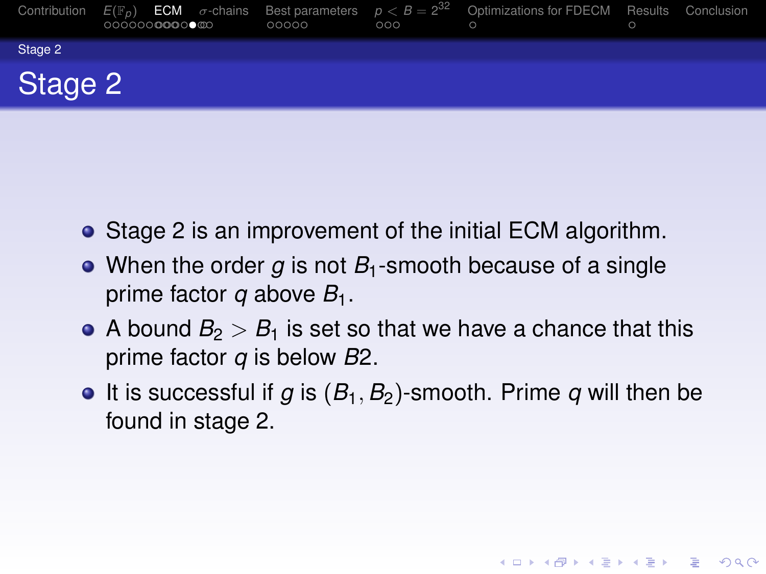|         | Contribution $E(\mathbb{F}_p)$ <b>ECM</b> $\sigma$ -chains Best parameters $p < B = 2^{32}$ Optimizations for FDECM Results Conclusion<br>○○○○○○ <b>○○○○</b> ●◎○ | 00000 | 000 | $\circ$ |  |
|---------|------------------------------------------------------------------------------------------------------------------------------------------------------------------|-------|-----|---------|--|
| Stage 2 |                                                                                                                                                                  |       |     |         |  |
| Stage 2 |                                                                                                                                                                  |       |     |         |  |

- Stage 2 is an improvement of the initial ECM algorithm.
- When the order *g* is not *B*<sub>1</sub>-smooth because of a single prime factor *q* above *B*1.
- A bound  $B_2 > B_1$  is set so that we have a chance that this prime factor *q* is below *B*2.
- $\bullet$  It is successful if *g* is  $(B_1, B_2)$ -smooth. Prime *q* will then be found in stage 2.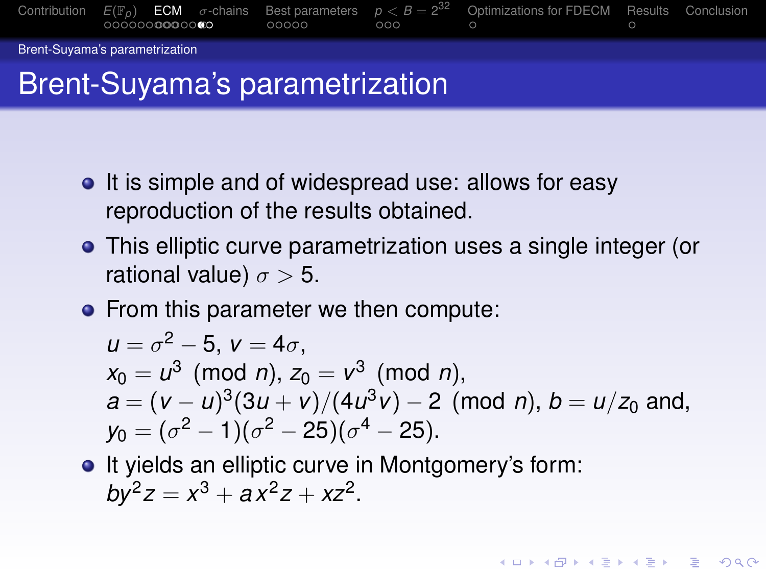

#### Brent-Suyama's parametrization

## Brent-Suyama's parametrization

- It is simple and of widespread use: allows for easy reproduction of the results obtained.
- This elliptic curve parametrization uses a single integer (or rational value)  $\sigma > 5$ .
- From this parameter we then compute:

$$
u = \sigma^2 - 5, v = 4\sigma,
$$
  
\n
$$
x_0 = u^3 \pmod{n}, z_0 = v^3 \pmod{n},
$$
  
\n
$$
a = (v - u)^3 (3u + v) / (4u^3v) - 2 \pmod{n}, b = u/z_0 \text{ and},
$$
  
\n
$$
y_0 = (\sigma^2 - 1)(\sigma^2 - 25)(\sigma^4 - 25).
$$

• It yields an elliptic curve in Montgomery's form:  $by^2z = x^3 + ax^2z + xz^2$ .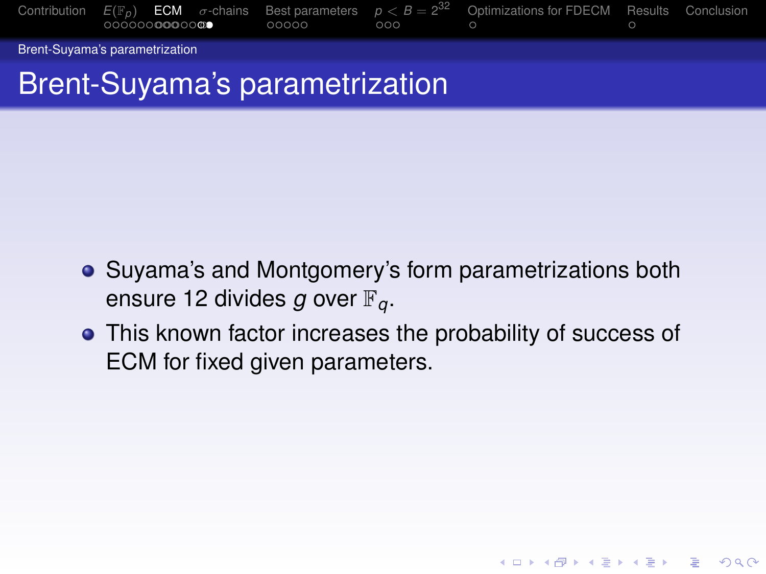

## Brent-Suyama's parametrization

- Suyama's and Montgomery's form parametrizations both ensure 12 divides *g* over F*q*.
- This known factor increases the probability of success of ECM for fixed given parameters.

**KORK ERKER AD A BOACH**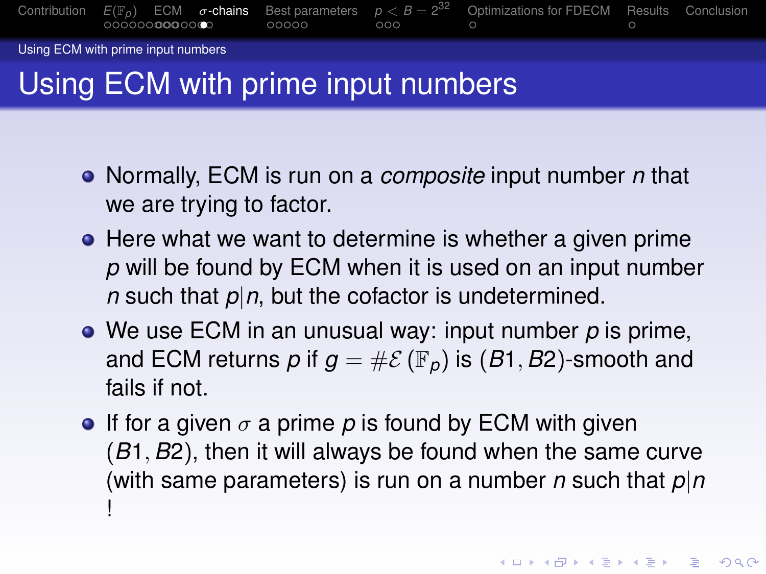[Contribution](#page-6-0) *[E](#page-9-0)*(F*[p](#page-13-0)*) [ECM](#page-19-0) σ[-chains](#page-27-0) [Best parameters](#page-29-0) *p* [<](#page-35-0) *B* = 2 [Optimizations for FDECM](#page-0-0) [Results](#page-0-0) [Conclusion](#page-0-0)

Using ECM with prime input numbers

# Using ECM with prime input numbers

- Normally, ECM is run on a *composite* input number *n* that we are trying to factor.
- Here what we want to determine is whether a given prime *p* will be found by ECM when it is used on an input number *n* such that  $p|n$ , but the cofactor is undetermined.
- We use ECM in an unusual way: input number *p* is prime, and ECM returns *p* if  $g = \#E(\mathbb{F}_p)$  is  $(B1, B2)$ -smooth and fails if not.
- **If for a given**  $\sigma$  **a prime p is found by ECM with given** (*B*1, *B*2), then it will always be found when the same curve (with same parameters) is run on a number *n* such that *p*|*n* !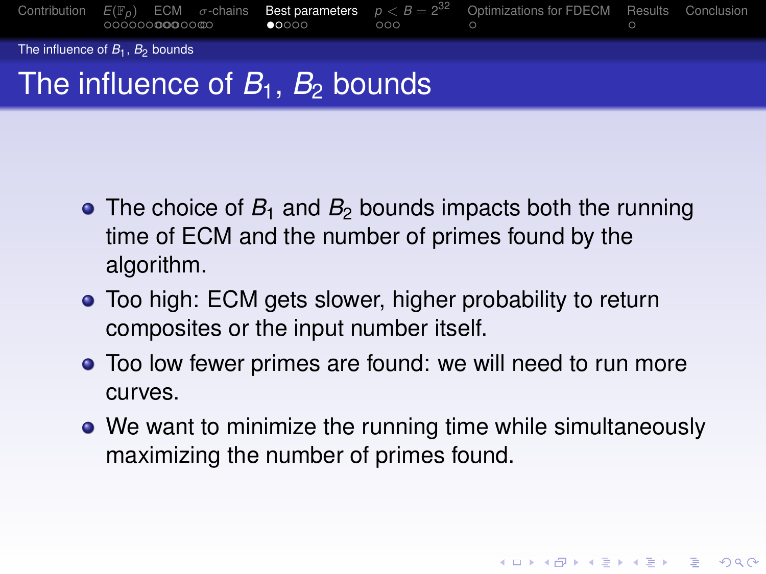

## The influence of  $B_1$ ,  $B_2$  bounds

- The choice of  $B_1$  and  $B_2$  bounds impacts both the running time of ECM and the number of primes found by the algorithm.
- Too high: ECM gets slower, higher probability to return composites or the input number itself.
- Too low fewer primes are found: we will need to run more curves.
- We want to minimize the running time while simultaneously maximizing the number of primes found.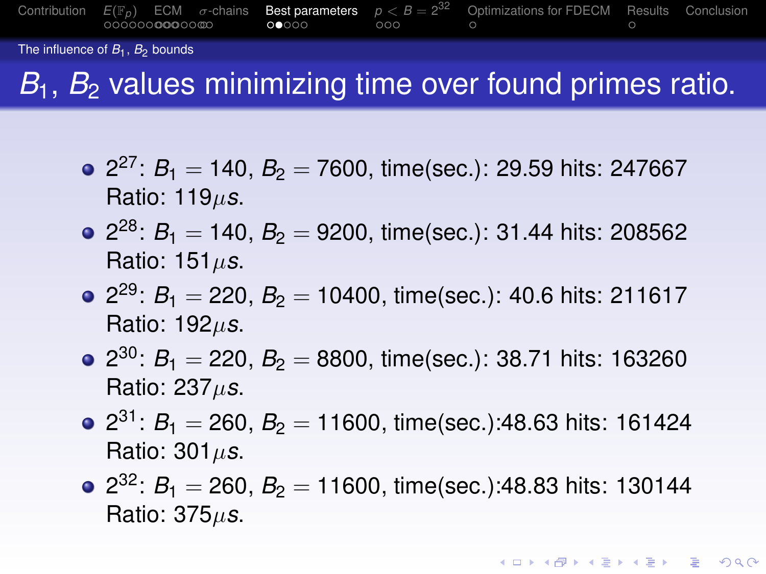

The influence of  $B_1$ ,  $B_2$  bounds

## *B*<sub>1</sub>, *B*<sub>2</sub> values minimizing time over found primes ratio.

- 2<sup>27</sup>: *B*<sub>1</sub> = 140, *B*<sub>2</sub> = 7600, time(sec.): 29.59 hits: 247667 Ratio: 119µ*s*.
- 2<sup>28</sup>: *B*<sub>1</sub> = 140, *B*<sub>2</sub> = 9200, time(sec.): 31.44 hits: 208562 Ratio: 151µ*s*.
- 2<sup>29</sup>: *B*<sub>1</sub> = 220, *B*<sub>2</sub> = 10400, time(sec.): 40.6 hits: 211617 Ratio: 192µ*s*.
- 2<sup>30</sup>: *B*<sub>1</sub> = 220, *B*<sub>2</sub> = 8800, time(sec.): 38.71 hits: 163260 Ratio: 237µ*s*.
- 2<sup>31</sup>: *B*<sub>1</sub> = 260, *B*<sub>2</sub> = 11600, time(sec.):48.63 hits: 161424 Ratio: 301µ*s*.
- 2<sup>32</sup>: *B*<sub>1</sub> = 260, *B*<sub>2</sub> = 11600, time(sec.):48.83 hits: 130144 Ratio: 375µ*s*.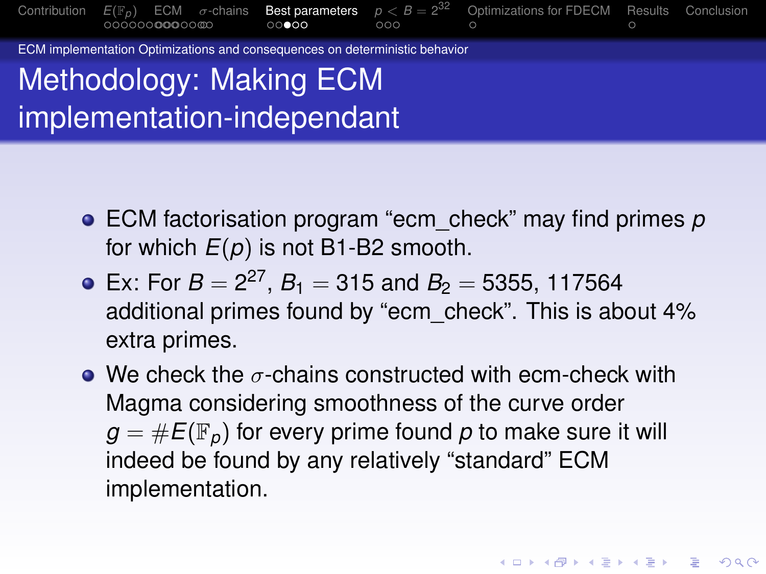

ECM implementation Optimizations and consequences on deterministic behavior

Methodology: Making ECM implementation-independant

- ECM factorisation program "ecm\_check" may find primes *p* for which *E*(*p*) is not B1-B2 smooth.
- Ex: For  $B = 2^{27}$ ,  $B_1 = 315$  and  $B_2 = 5355$ , 117564 additional primes found by "ecm\_check". This is about 4% extra primes.
- We check the  $\sigma$ -chains constructed with ecm-check with Magma considering smoothness of the curve order  $g = \#E(\mathbb{F}_p)$  for every prime found p to make sure it will indeed be found by any relatively "standard" ECM implementation.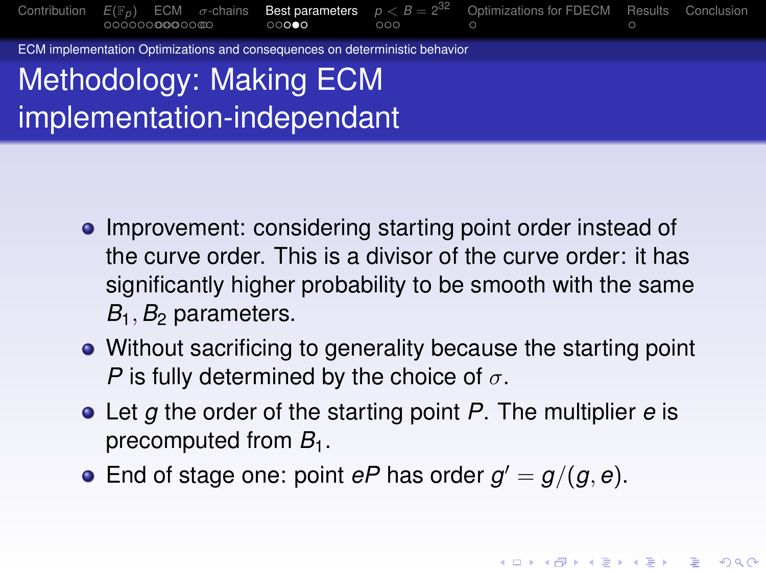[Contribution](#page-6-0) *[E](#page-9-0)*(F*[p](#page-13-0)*) [ECM](#page-19-0) σ[-chains](#page-27-0) [Best parameters](#page-29-0) *p* [<](#page-35-0) *B* = 2 [Optimizations for FDECM](#page-0-0) [Results](#page-0-0) [Conclusion](#page-0-0)

ECM implementation Optimizations and consequences on deterministic behavior

# Methodology: Making ECM implementation-independant

- Improvement: considering starting point order instead of the curve order. This is a divisor of the curve order: it has significantly higher probability to be smooth with the same *B*1, *B*<sup>2</sup> parameters.
- Without sacrificing to generality because the starting point *P* is fully determined by the choice of  $\sigma$ .
- Let *g* the order of the starting point *P*. The multiplier *e* is precomputed from  $B_1$ .
- <span id="page-27-0"></span>End of stage one: point  $eP$  has order  $g' = g/(g, e)$ .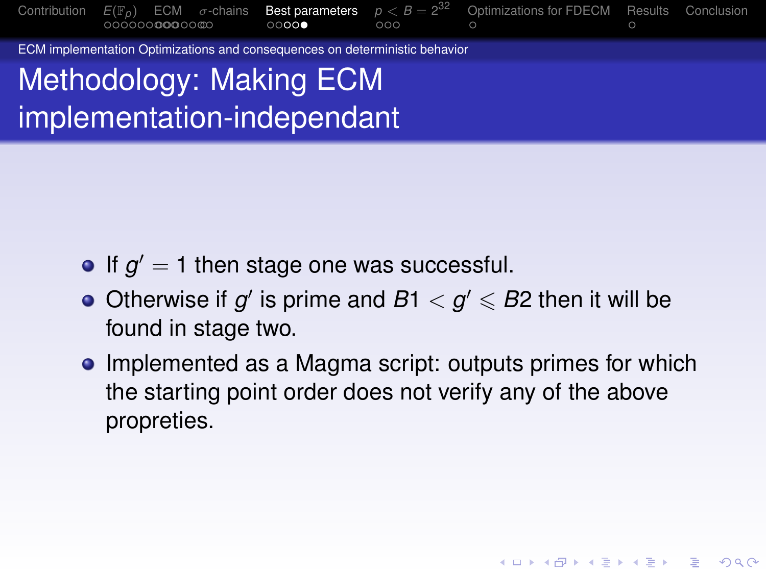[Contribution](#page-6-0)  $E(\mathbb{F}_p)$  $E(\mathbb{F}_p)$  $E(\mathbb{F}_p)$  $E(\mathbb{F}_p)$  [ECM](#page-19-0)  $\sigma$ [-chains](#page-27-0) **[Best parameters](#page-29-0)**  $p < B = 2^{32}$  $p < B = 2^{32}$  $p < B = 2^{32}$  [Optimizations for FDECM](#page-0-0) [Results](#page-0-0) [Conclusion](#page-0-0)

ECM implementation Optimizations and consequences on deterministic behavior

Methodology: Making ECM implementation-independant

- If  $g' = 1$  then stage one was successful.
- Otherwise if  $g'$  is prime and  $B1 < g' \leq B2$  then it will be found in stage two.
- Implemented as a Magma script: outputs primes for which the starting point order does not verify any of the above propreties.

**KO K E KENKEN ADA KO**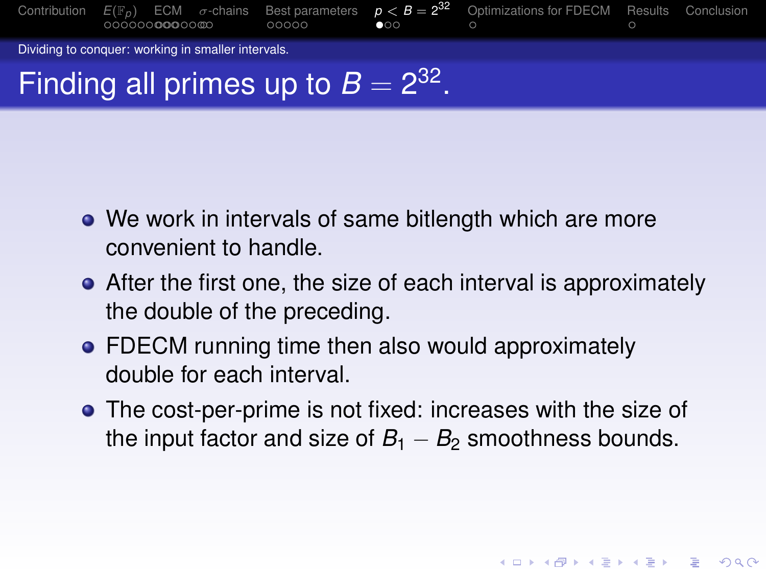

- We work in intervals of same bitlength which are more convenient to handle.
- After the first one, the size of each interval is approximately the double of the preceding.
- FDECM running time then also would approximately double for each interval.
- <span id="page-29-0"></span>The cost-per-prime is not fixed: increases with the size of the input factor and size of  $B_1 - B_2$  smoothness bounds.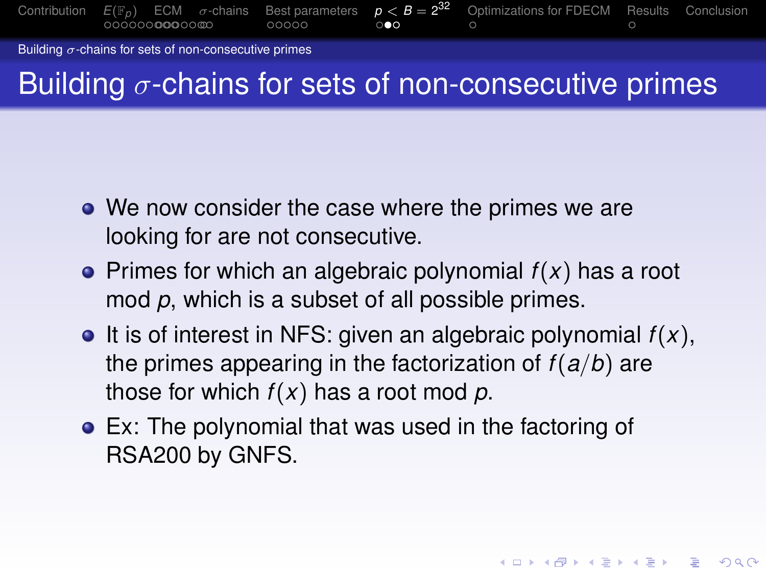

Building  $\sigma$ -chains for sets of non-consecutive primes

## Building  $\sigma$ -chains for sets of non-consecutive primes

- We now consider the case where the primes we are looking for are not consecutive.
- $\bullet$  Primes for which an algebraic polynomial  $f(x)$  has a root mod *p*, which is a subset of all possible primes.
- $\bullet$  It is of interest in NFS: given an algebraic polynomial  $f(x)$ , the primes appearing in the factorization of *f*(*a*/*b*) are those for which *f*(*x*) has a root mod *p*.

**KORK ERKER AD A BOACH** 

Ex: The polynomial that was used in the factoring of RSA200 by GNFS.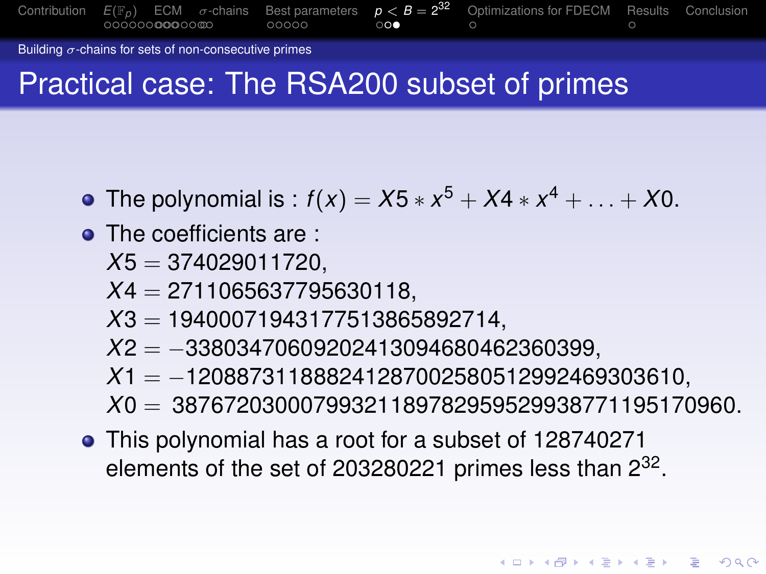[Contribution](#page-6-0)  $E(\mathbb{F}_p)$  $E(\mathbb{F}_p)$  $E(\mathbb{F}_p)$  $E(\mathbb{F}_p)$  [ECM](#page-19-0)  $\sigma$ [-chains](#page-27-0) [Best parameters](#page-29-0)  $p < B = 2^{32}$  $p < B = 2^{32}$  $p < B = 2^{32}$ <sup>32</sup> [Optimizations for FDECM](#page-0-0) [Results](#page-0-0) [Conclusion](#page-0-0)

Building  $\sigma$ -chains for sets of non-consecutive primes

## Practical case: The RSA200 subset of primes

- The polynomial is :  $f(x) = X5 * x^5 + X4 * x^4 + ... + X0$ .
- The coefficients are :
	- *X*5 = 374029011720,
	- *X*4 = 2711065637795630118,
	- *X*3 = 19400071943177513865892714,
	- *X*2 = −33803470609202413094680462360399,
	- *X*1 = −120887311888241287002580512992469303610,
	- *X*0 = 38767203000799321189782959529938771195170960.
- This polynomial has a root for a subset of 128740271 elements of the set of 203280221 primes less than  $2^{32}$ .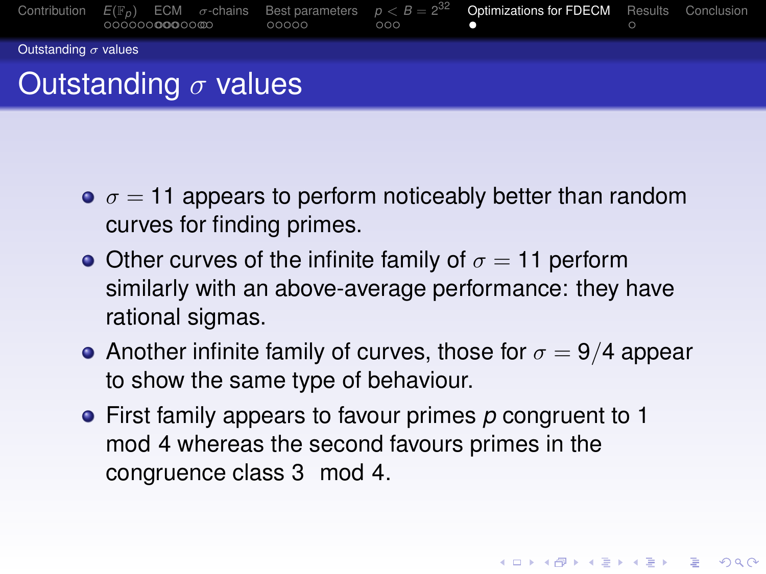

- $\sigma = 11$  appears to perform noticeably better than random curves for finding primes.
- Other curves of the infinite family of  $\sigma = 11$  perform similarly with an above-average performance: they have rational sigmas.
- Another infinite family of curves, those for  $\sigma = 9/4$  appear to show the same type of behaviour.

First family appears to favour primes *p* congruent to 1 mod 4 whereas the second favours primes in the congruence class 3 mod 4.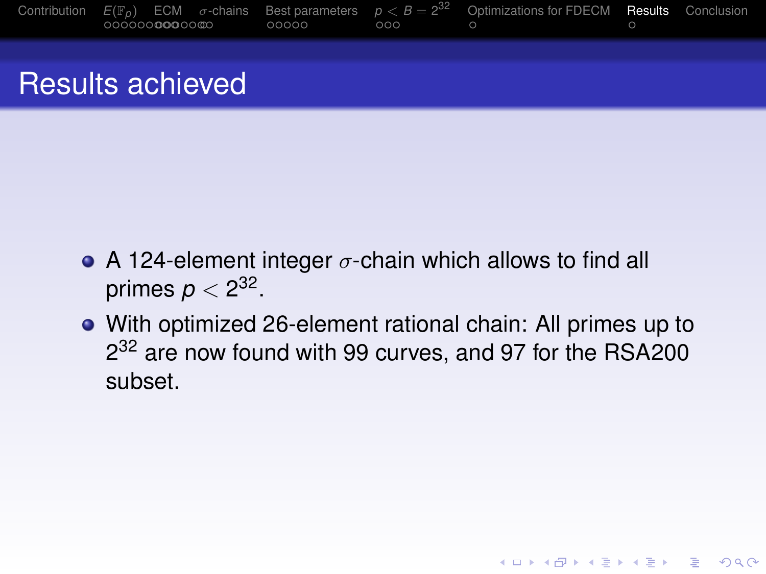

#### Results achieved

- A 124-element integer  $\sigma$ -chain which allows to find all primes  $\rho < 2^{32}.$
- With optimized 26-element rational chain: All primes up to 2<sup>32</sup> are now found with 99 curves, and 97 for the RSA200 subset.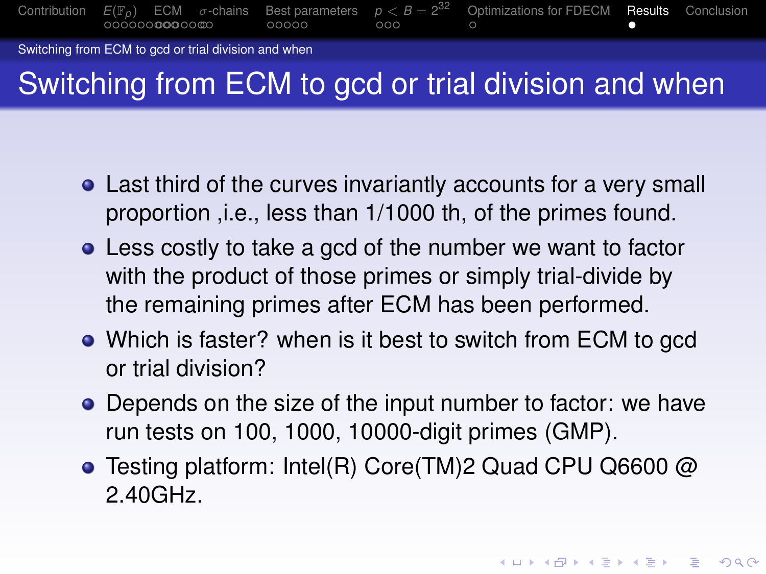

Switching from ECM to gcd or trial division and when

# Switching from ECM to gcd or trial division and when

- Last third of the curves invariantly accounts for a very small proportion ,i.e., less than 1/1000 th, of the primes found.
- Less costly to take a gcd of the number we want to factor with the product of those primes or simply trial-divide by the remaining primes after ECM has been performed.
- Which is faster? when is it best to switch from ECM to gcd or trial division?
- Depends on the size of the input number to factor: we have run tests on 100, 1000, 10000-digit primes (GMP).
- Testing platform: Intel(R) Core(TM)2 Quad CPU Q6600 @ 2.40GHz.